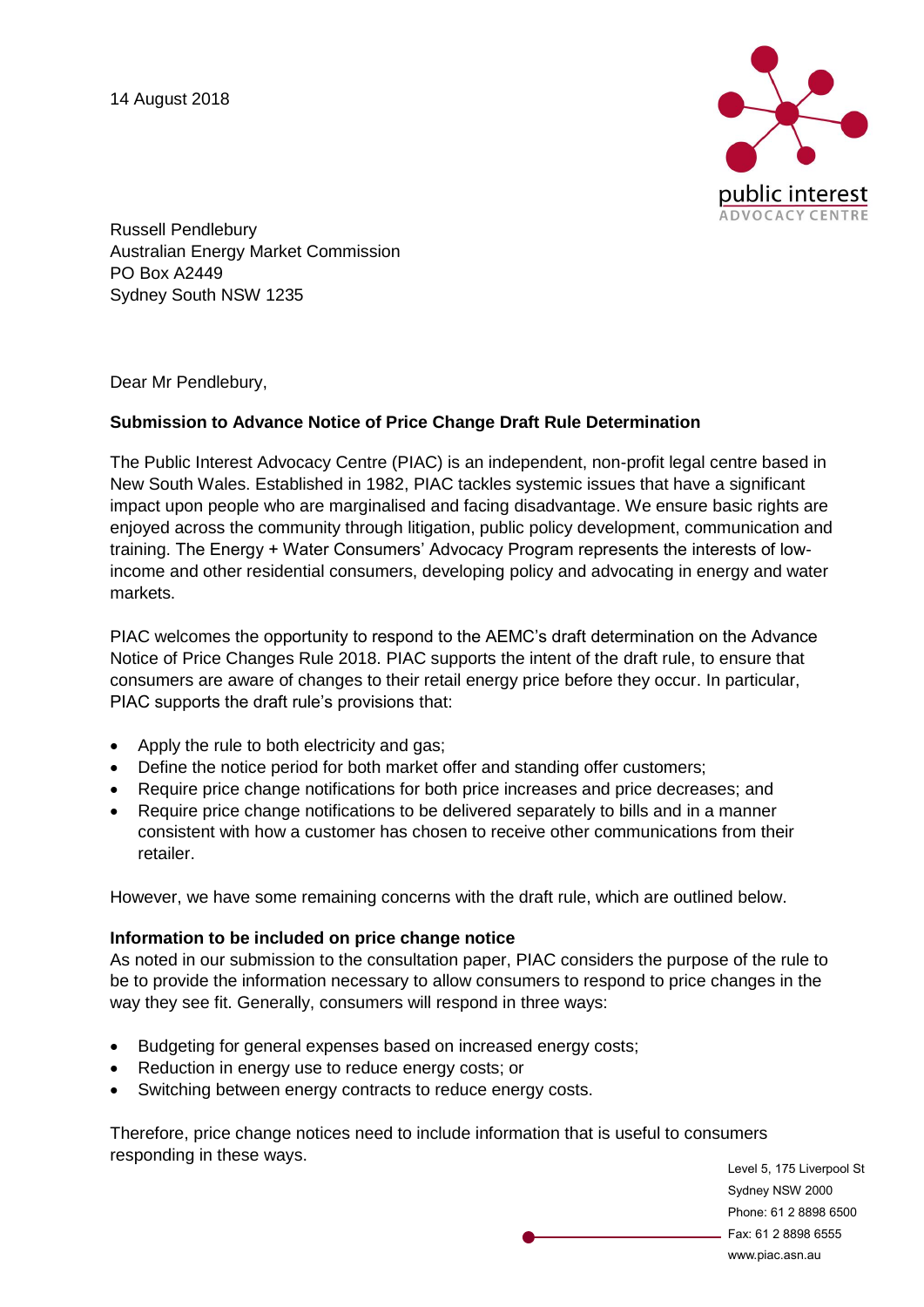

Russell Pendlebury Australian Energy Market Commission PO Box A2449 Sydney South NSW 1235

Dear Mr Pendlebury,

### **Submission to Advance Notice of Price Change Draft Rule Determination**

The Public Interest Advocacy Centre (PIAC) is an independent, non-profit legal centre based in New South Wales. Established in 1982, PIAC tackles systemic issues that have a significant impact upon people who are marginalised and facing disadvantage. We ensure basic rights are enjoyed across the community through litigation, public policy development, communication and training. The Energy + Water Consumers' Advocacy Program represents the interests of lowincome and other residential consumers, developing policy and advocating in energy and water markets.

PIAC welcomes the opportunity to respond to the AEMC's draft determination on the Advance Notice of Price Changes Rule 2018. PIAC supports the intent of the draft rule, to ensure that consumers are aware of changes to their retail energy price before they occur. In particular, PIAC supports the draft rule's provisions that:

- Apply the rule to both electricity and gas;
- Define the notice period for both market offer and standing offer customers;
- Require price change notifications for both price increases and price decreases; and
- Require price change notifications to be delivered separately to bills and in a manner consistent with how a customer has chosen to receive other communications from their retailer.

However, we have some remaining concerns with the draft rule, which are outlined below.

#### **Information to be included on price change notice**

As noted in our submission to the consultation paper, PIAC considers the purpose of the rule to be to provide the information necessary to allow consumers to respond to price changes in the way they see fit. Generally, consumers will respond in three ways:

- Budgeting for general expenses based on increased energy costs;
- Reduction in energy use to reduce energy costs; or
- Switching between energy contracts to reduce energy costs.

Therefore, price change notices need to include information that is useful to consumers responding in these ways.

Level 5, 175 Liverpool St Sydney NSW 2000 Phone: 61 2 8898 6500 Fax: 61 2 8898 6555 www.piac.asn.au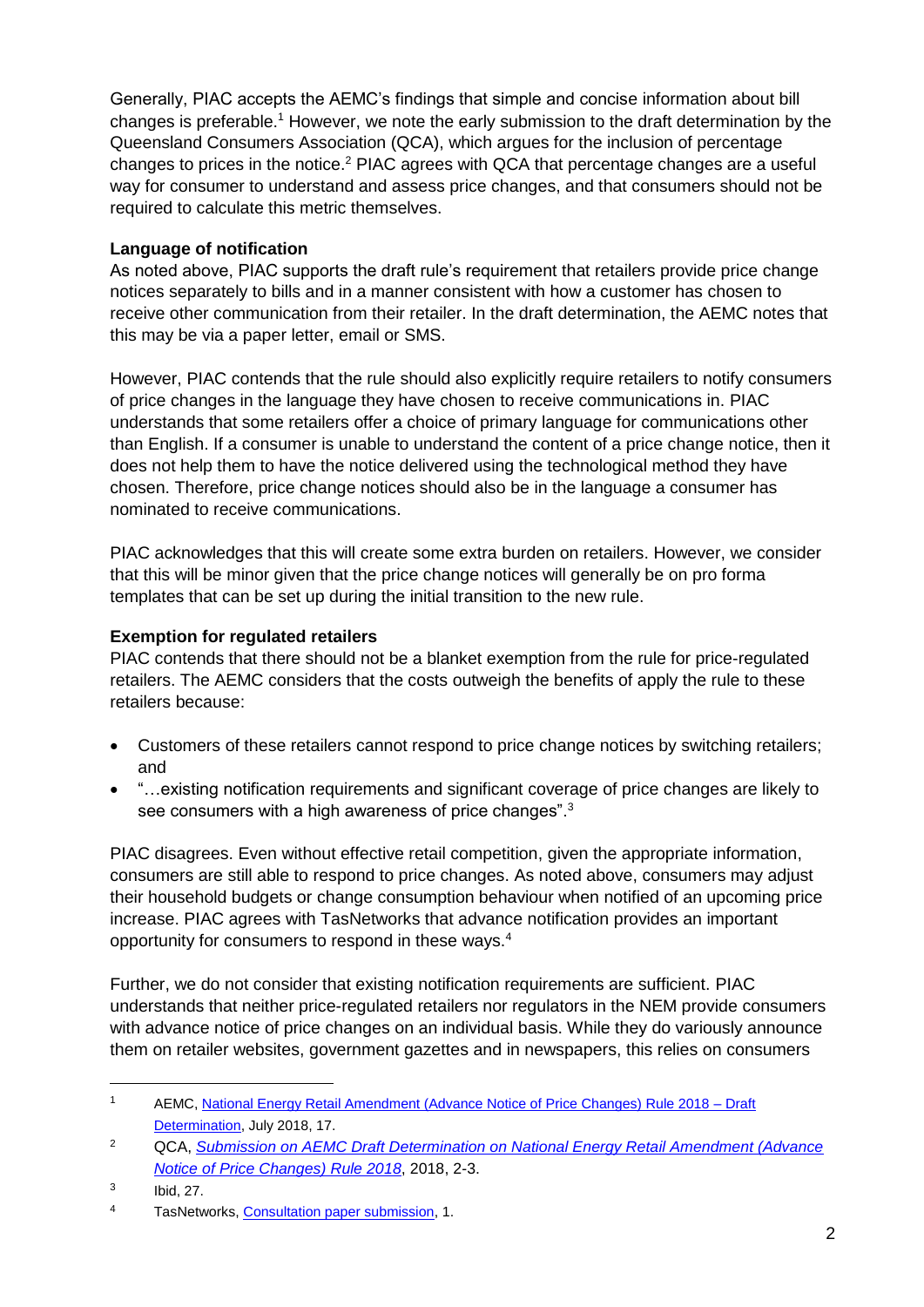Generally, PIAC accepts the AEMC's findings that simple and concise information about bill changes is preferable.<sup>1</sup> However, we note the early submission to the draft determination by the Queensland Consumers Association (QCA), which argues for the inclusion of percentage changes to prices in the notice.<sup>2</sup> PIAC agrees with QCA that percentage changes are a useful way for consumer to understand and assess price changes, and that consumers should not be required to calculate this metric themselves.

## **Language of notification**

As noted above, PIAC supports the draft rule's requirement that retailers provide price change notices separately to bills and in a manner consistent with how a customer has chosen to receive other communication from their retailer. In the draft determination, the AEMC notes that this may be via a paper letter, email or SMS.

However, PIAC contends that the rule should also explicitly require retailers to notify consumers of price changes in the language they have chosen to receive communications in. PIAC understands that some retailers offer a choice of primary language for communications other than English. If a consumer is unable to understand the content of a price change notice, then it does not help them to have the notice delivered using the technological method they have chosen. Therefore, price change notices should also be in the language a consumer has nominated to receive communications.

PIAC acknowledges that this will create some extra burden on retailers. However, we consider that this will be minor given that the price change notices will generally be on pro forma templates that can be set up during the initial transition to the new rule.

# **Exemption for regulated retailers**

PIAC contends that there should not be a blanket exemption from the rule for price-regulated retailers. The AEMC considers that the costs outweigh the benefits of apply the rule to these retailers because:

- Customers of these retailers cannot respond to price change notices by switching retailers; and
- "…existing notification requirements and significant coverage of price changes are likely to see consumers with a high awareness of price changes".<sup>3</sup>

PIAC disagrees. Even without effective retail competition, given the appropriate information, consumers are still able to respond to price changes. As noted above, consumers may adjust their household budgets or change consumption behaviour when notified of an upcoming price increase. PIAC agrees with TasNetworks that advance notification provides an important opportunity for consumers to respond in these ways.<sup>4</sup>

Further, we do not consider that existing notification requirements are sufficient. PIAC understands that neither price-regulated retailers nor regulators in the NEM provide consumers with advance notice of price changes on an individual basis. While they do variously announce them on retailer websites, government gazettes and in newspapers, this relies on consumers

-

<sup>1</sup> AEMC, [National Energy Retail Amendment \(Advance Notice of Price Changes\) Rule 2018 –](https://www.aemc.gov.au/sites/default/files/2018-07/Draft%20determination.pdf) Draft [Determination,](https://www.aemc.gov.au/sites/default/files/2018-07/Draft%20determination.pdf) July 2018, 17.

<sup>2</sup> QCA, *[Submission on AEMC Draft Determination on National Energy Retail Amendment \(Advance](https://www.aemc.gov.au/sites/default/files/2018-08/RRC0015%20Queensland%20Consumers%20Association%20submission%20draft_1.pdf)  [Notice of Price Changes\) Rule 2018](https://www.aemc.gov.au/sites/default/files/2018-08/RRC0015%20Queensland%20Consumers%20Association%20submission%20draft_1.pdf)*, 2018, 2-3.

<sup>3</sup> Ibid, 27.

<sup>4</sup> TasNetworks, [Consultation paper submission,](https://www.aemc.gov.au/sites/default/files/2018-05/TasNetworks.pdf) 1.